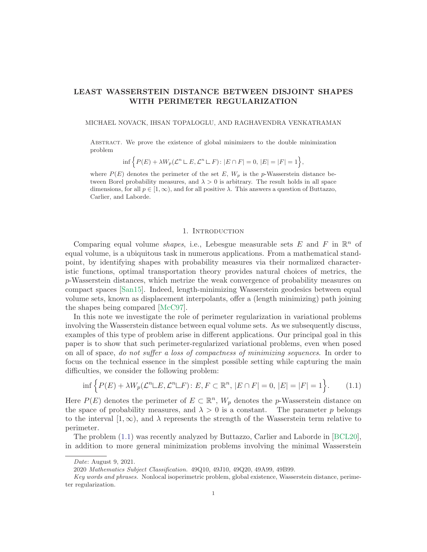# LEAST WASSERSTEIN DISTANCE BETWEEN DISJOINT SHAPES WITH PERIMETER REGULARIZATION

MICHAEL NOVACK, IHSAN TOPALOGLU, AND RAGHAVENDRA VENKATRAMAN

Abstract. We prove the existence of global minimizers to the double minimization problem

$$
\inf \left\{ P(E) + \lambda W_p(\mathcal{L}^n \sqcup E, \mathcal{L}^n \sqcup F) : |E \cap F| = 0, |E| = |F| = 1 \right\},\
$$

where  $P(E)$  denotes the perimeter of the set E,  $W_p$  is the p-Wasserstein distance between Borel probability measures, and  $\lambda > 0$  is arbitrary. The result holds in all space dimensions, for all  $p \in [1,\infty)$ , and for all positive  $\lambda$ . This answers a question of Buttazzo, Carlier, and Laborde.

## 1. INTRODUCTION

Comparing equal volume *shapes*, i.e., Lebesgue measurable sets E and F in  $\mathbb{R}^n$  of equal volume, is a ubiquitous task in numerous applications. From a mathematical standpoint, by identifying shapes with probability measures via their normalized characteristic functions, optimal transportation theory provides natural choices of metrics, the p-Wasserstein distances, which metrize the weak convergence of probability measures on compact spaces [\[San15\]](#page-18-0). Indeed, length-minimizing Wasserstein geodesics between equal volume sets, known as displacement interpolants, offer a (length minimizing) path joining the shapes being compared [\[McC97\]](#page-18-1).

In this note we investigate the role of perimeter regularization in variational problems involving the Wasserstein distance between equal volume sets. As we subsequently discuss, examples of this type of problem arise in different applications. Our principal goal in this paper is to show that such perimeter-regularized variational problems, even when posed on all of space, *do not suffer a loss of compactness of minimizing sequences*. In order to focus on the technical essence in the simplest possible setting while capturing the main difficulties, we consider the following problem:

<span id="page-0-0"></span>
$$
\inf \left\{ P(E) + \lambda W_p(\mathcal{L}^n \sqcup E, \mathcal{L}^n \sqcup F) : E, F \subset \mathbb{R}^n, |E \cap F| = 0, |E| = |F| = 1 \right\}.
$$
 (1.1)

Here  $P(E)$  denotes the perimeter of  $E \subset \mathbb{R}^n$ ,  $W_p$  denotes the p-Wasserstein distance on the space of probability measures, and  $\lambda > 0$  is a constant. The parameter p belongs to the interval  $[1,\infty)$ , and  $\lambda$  represents the strength of the Wasserstein term relative to perimeter.

The problem [\(1.1\)](#page-0-0) was recently analyzed by Buttazzo, Carlier and Laborde in [\[BCL20\]](#page-17-0), in addition to more general minimization problems involving the minimal Wasserstein

Date: August 9, 2021.

<sup>2020</sup> Mathematics Subject Classification. 49Q10, 49J10, 49Q20, 49A99, 49B99.

Key words and phrases. Nonlocal isoperimetric problem, global existence, Wasserstein distance, perimeter regularization.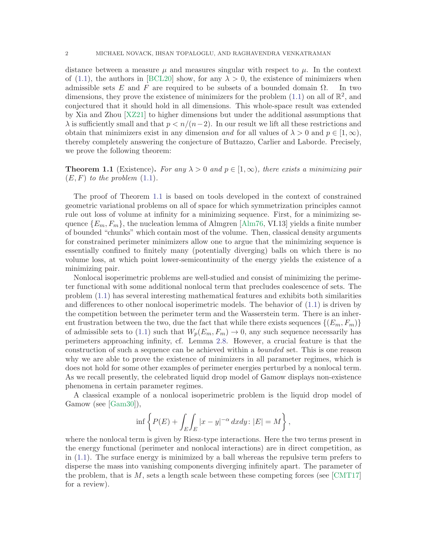distance between a measure  $\mu$  and measures singular with respect to  $\mu$ . In the context of [\(1.1\)](#page-0-0), the authors in [\[BCL20\]](#page-17-0) show, for any  $\lambda > 0$ , the existence of minimizers when admissible sets E and F are required to be subsets of a bounded domain  $\Omega$ . In two dimensions, they prove the existence of minimizers for the problem  $(1.1)$  on all of  $\mathbb{R}^2$ , and conjectured that it should hold in all dimensions. This whole-space result was extended by Xia and Zhou [\[XZ21\]](#page-18-2) to higher dimensions but under the additional assumptions that  $\lambda$  is sufficiently small and that  $p < n/(n-2)$ . In our result we lift all these restrictions and obtain that minimizers exist in any dimension and for all values of  $\lambda > 0$  and  $p \in [1, \infty)$ , thereby completely answering the conjecture of Buttazzo, Carlier and Laborde. Precisely, we prove the following theorem:

<span id="page-1-0"></span>**Theorem 1.1** (Existence). For any  $\lambda > 0$  and  $p \in [1, \infty)$ , there exists a minimizing pair  $(E, F)$  to the problem  $(1.1)$ .

The proof of Theorem [1.1](#page-1-0) is based on tools developed in the context of constrained geometric variational problems on all of space for which symmetrization principles cannot rule out loss of volume at infinity for a minimizing sequence. First, for a minimizing sequence  ${E_m, F_m}$ , the nucleation lemma of Almgren [\[Alm76,](#page-17-1) VI.13] yields a finite number of bounded "chunks" which contain most of the volume. Then, classical density arguments for constrained perimeter minimizers allow one to argue that the minimizing sequence is essentially confined to finitely many (potentially diverging) balls on which there is no volume loss, at which point lower-semicontinuity of the energy yields the existence of a minimizing pair.

Nonlocal isoperimetric problems are well-studied and consist of minimizing the perimeter functional with some additional nonlocal term that precludes coalescence of sets. The problem [\(1.1\)](#page-0-0) has several interesting mathematical features and exhibits both similarities and differences to other nonlocal isoperimetric models. The behavior of [\(1.1\)](#page-0-0) is driven by the competition between the perimeter term and the Wasserstein term. There is an inherent frustration between the two, due the fact that while there exists sequences  $\{(E_m, F_m)\}\$ of admissible sets to [\(1.1\)](#page-0-0) such that  $W_p(E_m, F_m) \to 0$ , any such sequence necessarily has perimeters approaching infinity, cf. Lemma [2.8.](#page-8-0) However, a crucial feature is that the construction of such a sequence can be achieved within a bounded set. This is one reason why we are able to prove the existence of minimizers in all parameter regimes, which is does not hold for some other examples of perimeter energies perturbed by a nonlocal term. As we recall presently, the celebrated liquid drop model of Gamow displays non-existence phenomena in certain parameter regimes.

A classical example of a nonlocal isoperimetric problem is the liquid drop model of Gamow (see [\[Gam30\]](#page-18-3)),

$$
\inf \left\{ P(E) + \int_{E} \int_{E} |x - y|^{-\alpha} dx dy : |E| = M \right\},\
$$

where the nonlocal term is given by Riesz-type interactions. Here the two terms present in the energy functional (perimeter and nonlocal interactions) are in direct competition, as in [\(1.1\)](#page-0-0). The surface energy is minimized by a ball whereas the repulsive term prefers to disperse the mass into vanishing components diverging infinitely apart. The parameter of the problem, that is  $M$ , sets a length scale between these competing forces (see [\[CMT17\]](#page-17-2) for a review).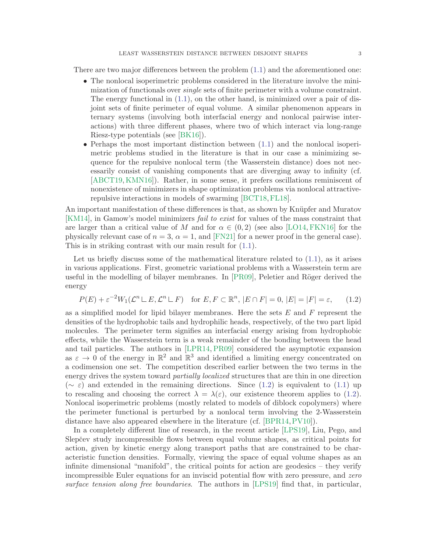There are two major differences between the problem [\(1.1\)](#page-0-0) and the aforementioned one:

- The nonlocal isoperimetric problems considered in the literature involve the minimization of functionals over single sets of finite perimeter with a volume constraint. The energy functional in [\(1.1\)](#page-0-0), on the other hand, is minimized over a pair of disjoint sets of finite perimeter of equal volume. A similar phenomenon appears in ternary systems (involving both interfacial energy and nonlocal pairwise interactions) with three different phases, where two of which interact via long-range Riesz-type potentials (see [\[BK16\]](#page-17-3)).
- Perhaps the most important distinction between [\(1.1\)](#page-0-0) and the nonlocal isoperimetric problems studied in the literature is that in our case a minimizing sequence for the repulsive nonlocal term (the Wasserstein distance) does not necessarily consist of vanishing components that are diverging away to infinity (cf. [\[ABCT19,](#page-17-4) [KMN16\]](#page-18-4)). Rather, in some sense, it prefers oscillations reminiscent of nonexistence of minimizers in shape optimization problems via nonlocal attractiverepulsive interactions in models of swarming [\[BCT18,](#page-17-5)[FL18\]](#page-18-5).

An important manifestation of these differences is that, as shown by Knüpfer and Muratov [\[KM14\]](#page-18-6), in Gamow's model minimizers fail to exist for values of the mass constraint that are larger than a critical value of M and for  $\alpha \in (0, 2)$  (see also [\[LO14,](#page-18-7) [FKN16\]](#page-17-6) for the physically relevant case of  $n = 3$ ,  $\alpha = 1$ , and [\[FN21\]](#page-18-8) for a newer proof in the general case). This is in striking contrast with our main result for [\(1.1\)](#page-0-0).

Let us briefly discuss some of the mathematical literature related to [\(1.1\)](#page-0-0), as it arises in various applications. First, geometric variational problems with a Wasserstein term are useful in the modelling of bilayer membranes. In [\[PR09\]](#page-18-9), Peletier and Röger derived the energy

<span id="page-2-0"></span>
$$
P(E) + \varepsilon^{-2} W_1(\mathcal{L}^n \sqcup E, \mathcal{L}^n \sqcup F) \quad \text{for } E, F \subset \mathbb{R}^n, \, |E \cap F| = 0, \, |E| = |F| = \varepsilon, \tag{1.2}
$$

as a simplified model for lipid bilayer membranes. Here the sets  $E$  and  $F$  represent the densities of the hydrophobic tails and hydrophilic heads, respectively, of the two part lipid molecules. The perimeter term signifies an interfacial energy arising from hydrophobic effects, while the Wasserstein term is a weak remainder of the bonding between the head and tail particles. The authors in [\[LPR14,](#page-18-10) [PR09\]](#page-18-9) considered the asymptotic expansion as  $\varepsilon \to 0$  of the energy in  $\mathbb{R}^2$  and  $\mathbb{R}^3$  and identified a limiting energy concentrated on a codimension one set. The competition described earlier between the two terms in the energy drives the system toward *partially localized* structures that are thin in one direction  $(\sim \varepsilon)$  and extended in the remaining directions. Since [\(1.2\)](#page-2-0) is equivalent to [\(1.1\)](#page-0-0) up to rescaling and choosing the correct  $\lambda = \lambda(\varepsilon)$ , our existence theorem applies to [\(1.2\)](#page-2-0). Nonlocal isoperimetric problems (mostly related to models of diblock copolymers) where the perimeter functional is perturbed by a nonlocal term involving the 2-Wasserstein distance have also appeared elsewhere in the literature (cf. [\[BPR14,](#page-17-7)[PV10\]](#page-18-11)).

In a completely different line of research, in the recent article [\[LPS19\]](#page-18-12), Liu, Pego, and Slepc̆ev study incompressible flows between equal volume shapes, as critical points for action, given by kinetic energy along transport paths that are constrained to be characteristic function densities. Formally, viewing the space of equal volume shapes as an infinite dimensional "manifold", the critical points for action are geodesics – they verify incompressible Euler equations for an inviscid potential flow with zero pressure, and zero surface tension along free boundaries. The authors in [\[LPS19\]](#page-18-12) find that, in particular,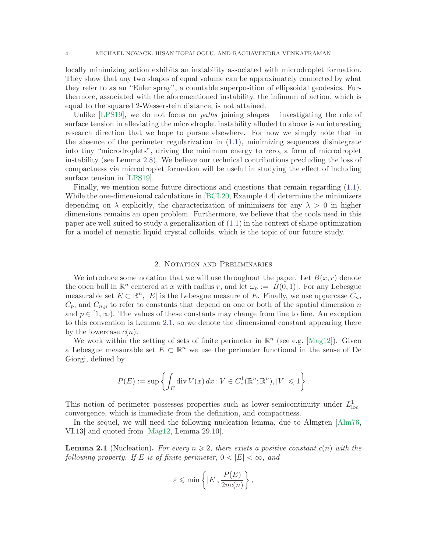locally minimizing action exhibits an instability associated with microdroplet formation. They show that any two shapes of equal volume can be approximately connected by what they refer to as an "Euler spray", a countable superposition of ellipsoidal geodesics. Furthermore, associated with the aforementioned instability, the infimum of action, which is equal to the squared 2-Wasserstein distance, is not attained.

Unlike  $[LPS19]$ , we do not focus on *paths* joining shapes – investigating the role of surface tension in alleviating the microdroplet instability alluded to above is an interesting research direction that we hope to pursue elsewhere. For now we simply note that in the absence of the perimeter regularization in [\(1.1\)](#page-0-0), minimizing sequences disintegrate into tiny "microdroplets", driving the minimum energy to zero, a form of microdroplet instability (see Lemma [2.8\)](#page-8-0). We believe our technical contributions precluding the loss of compactness via microdroplet formation will be useful in studying the effect of including surface tension in [\[LPS19\]](#page-18-12).

Finally, we mention some future directions and questions that remain regarding [\(1.1\)](#page-0-0). While the one-dimensional calculations in [\[BCL20,](#page-17-0) Example 4.4] determine the minimizers depending on  $\lambda$  explicitly, the characterization of minimizers for any  $\lambda > 0$  in higher dimensions remains an open problem. Furthermore, we believe that the tools used in this paper are well-suited to study a generalization of [\(1.1\)](#page-0-0) in the context of shape optimization for a model of nematic liquid crystal colloids, which is the topic of our future study.

### 2. Notation and Preliminaries

We introduce some notation that we will use throughout the paper. Let  $B(x, r)$  denote the open ball in  $\mathbb{R}^n$  centered at x with radius r, and let  $\omega_n := |B(0,1)|$ . For any Lebesgue measurable set  $E \subset \mathbb{R}^n$ ,  $|E|$  is the Lebesgue measure of E. Finally, we use uppercase  $C_n$ ,  $C_p$ , and  $C_{n,p}$  to refer to constants that depend on one or both of the spatial dimension n and  $p \in [1,\infty)$ . The values of these constants may change from line to line. An exception to this convention is Lemma [2.1,](#page-3-0) so we denote the dimensional constant appearing there by the lowercase  $c(n)$ .

We work within the setting of sets of finite perimeter in  $\mathbb{R}^n$  (see e.g. [\[Mag12\]](#page-18-13)). Given a Lebesgue measurable set  $E \subset \mathbb{R}^n$  we use the perimeter functional in the sense of De Giorgi, defined by

$$
P(E) := \sup \left\{ \int_E \operatorname{div} V(x) dx \colon V \in C_c^1(\mathbb{R}^n; \mathbb{R}^n), |V| \leq 1 \right\}.
$$

This notion of perimeter possesses properties such as lower-semicontinuity under  $L_{\text{loc}}^1$ convergence, which is immediate from the definition, and compactness.

In the sequel, we will need the following nucleation lemma, due to Almgren [\[Alm76,](#page-17-1) VI.13] and quoted from [\[Mag12,](#page-18-13) Lemma 29.10].

<span id="page-3-0"></span>**Lemma 2.1** (Nucleation). For every  $n \geq 2$ , there exists a positive constant  $c(n)$  with the following property. If E is of finite perimeter,  $0 < |E| < \infty$ , and

<span id="page-3-1"></span>
$$
\varepsilon \leqslant \min\left\{ |E|, \frac{P(E)}{2nc(n)} \right\},\
$$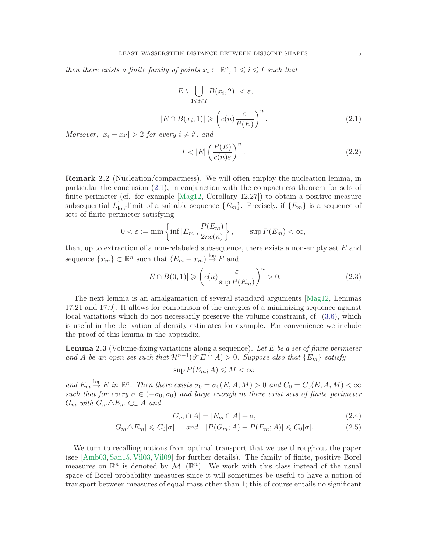then there exists a finite family of points  $x_i \subset \mathbb{R}^n$ ,  $1 \leq i \leq I$  such that

$$
\left| E \setminus \bigcup_{1 \leq i \leq I} B(x_i, 2) \right| < \varepsilon,
$$
\n
$$
|E \cap B(x_i, 1)| \geq \left( c(n) \frac{\varepsilon}{P(E)} \right)^n.
$$
\n
$$
(2.1)
$$

Moreover,  $|x_i - x_{i'}| > 2$  for every  $i \neq i'$ , and

<span id="page-4-3"></span>
$$
I < |E| \left(\frac{P(E)}{c(n)\varepsilon}\right)^n. \tag{2.2}
$$

<span id="page-4-0"></span>Remark 2.2 (Nucleation/compactness). We will often employ the nucleation lemma, in particular the conclusion [\(2.1\)](#page-3-1), in conjunction with the compactness theorem for sets of finite perimeter (cf. for example [\[Mag12,](#page-18-13) Corollary 12.27]) to obtain a positive measure subsequential  $L^1_{\text{loc}}$ -limit of a suitable sequence  $\{E_m\}$ . Precisely, if  $\{E_m\}$  is a sequence of sets of finite perimeter satisfying

<span id="page-4-1"></span>
$$
0 < \varepsilon := \min\left\{\inf |E_m|, \frac{P(E_m)}{2nc(n)}\right\}, \qquad \sup P(E_m) < \infty,
$$

then, up to extraction of a non-relabeled subsequence, there exists a non-empty set  $E$  and sequence  $\{x_m\} \subset \mathbb{R}^n$  such that  $(E_m - x_m) \stackrel{\text{loc}}{\rightarrow} E$  and

$$
|E \cap B(0,1)| \geqslant \left( c(n) \frac{\varepsilon}{\sup P(E_m)} \right)^n > 0. \tag{2.3}
$$

The next lemma is an amalgamation of several standard arguments [\[Mag12,](#page-18-13) Lemmas 17.21 and 17.9]. It allows for comparison of the energies of a minimizing sequence against local variations which do not necessarily preserve the volume constraint, cf. [\(3.6\)](#page-10-0), which is useful in the derivation of density estimates for example. For convenience we include the proof of this lemma in the appendix.

<span id="page-4-2"></span>**Lemma 2.3** (Volume-fixing variations along a sequence). Let  $E$  be a set of finite perimeter and A be an open set such that  $\mathcal{H}^{n-1}(\partial^* E \cap A) > 0$ . Suppose also that  $\{E_m\}$  satisfy

$$
\sup P(E_m; A) \leqslant M < \infty
$$

and  $E_m \stackrel{\text{loc}}{\rightarrow} E$  in  $\mathbb{R}^n$ . Then there exists  $\sigma_0 = \sigma_0(E, A, M) > 0$  and  $C_0 = C_0(E, A, M) < \infty$ such that for every  $\sigma \in (-\sigma_0, \sigma_0)$  and large enough m there exist sets of finite perimeter  $G_m$  with  $G_m \triangle E_m \subset \subset A$  and

$$
|G_m \cap A| = |E_m \cap A| + \sigma,\tag{2.4}
$$

$$
|G_m \triangle E_m| \leq C_0 |\sigma|, \quad \text{and} \quad |P(G_m; A) - P(E_m; A)| \leq C_0 |\sigma|.
$$
 (2.5)

We turn to recalling notions from optimal transport that we use throughout the paper (see [\[Amb03,](#page-17-8) [San15,](#page-18-0) [Vil03,](#page-18-14) [Vil09\]](#page-18-15) for further details). The family of finite, positive Borel measures on  $\mathbb{R}^n$  is denoted by  $\mathcal{M}_+(\mathbb{R}^n)$ . We work with this class instead of the usual space of Borel probability measures since it will sometimes be useful to have a notion of transport between measures of equal mass other than 1; this of course entails no significant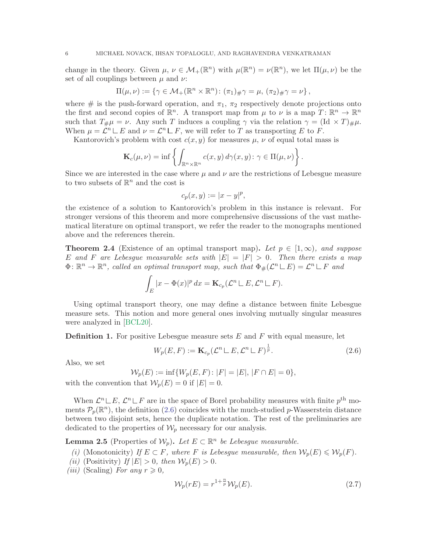change in the theory. Given  $\mu, \nu \in \mathcal{M}_+(\mathbb{R}^n)$  with  $\mu(\mathbb{R}^n) = \nu(\mathbb{R}^n)$ , we let  $\Pi(\mu, \nu)$  be the set of all couplings between  $\mu$  and  $\nu$ :

$$
\Pi(\mu,\nu) := \left\{ \gamma \in \mathcal{M}_+(\mathbb{R}^n \times \mathbb{R}^n) : (\pi_1)_\# \gamma = \mu, (\pi_2)_\# \gamma = \nu \right\},\
$$

where # is the push-forward operation, and  $\pi_1$ ,  $\pi_2$  respectively denote projections onto the first and second copies of  $\mathbb{R}^n$ . A transport map from  $\mu$  to  $\nu$  is a map  $T: \mathbb{R}^n \to \mathbb{R}^n$ such that  $T_{\#}\mu = \nu$ . Any such T induces a coupling  $\gamma$  via the relation  $\gamma = (\text{Id} \times T)_{\#}\mu$ . When  $\mu = \mathcal{L}^n \sqcup E$  and  $\nu = \mathcal{L}^n \sqcup F$ , we will refer to T as transporting E to F.

Kantorovich's problem with cost  $c(x, y)$  for measures  $\mu$ ,  $\nu$  of equal total mass is

<span id="page-5-0"></span>
$$
\mathbf{K}_c(\mu,\nu) = \inf \left\{ \int_{\mathbb{R}^n \times \mathbb{R}^n} c(x,y) \, d\gamma(x,y) \colon \gamma \in \Pi(\mu,\nu) \right\}.
$$

Since we are interested in the case where  $\mu$  and  $\nu$  are the restrictions of Lebesgue measure to two subsets of  $\mathbb{R}^n$  and the cost is

$$
c_p(x, y) := |x - y|^p,
$$

the existence of a solution to Kantorovich's problem in this instance is relevant. For stronger versions of this theorem and more comprehensive discussions of the vast mathematical literature on optimal transport, we refer the reader to the monographs mentioned above and the references therein.

<span id="page-5-2"></span>**Theorem 2.4** (Existence of an optimal transport map). Let  $p \in [1,\infty)$ , and suppose E and F are Lebesque measurable sets with  $|E| = |F| > 0$ . Then there exists a map  $\Phi \colon \mathbb{R}^n \to \mathbb{R}^n$ , called an optimal transport map, such that  $\Phi_{\#}(\mathcal{L}^n \sqcup E) = \mathcal{L}^n \sqcup F$  and

$$
\int_E |x - \Phi(x)|^p dx = \mathbf{K}_{c_p}(\mathcal{L}^n \sqcup E, \mathcal{L}^n \sqcup F).
$$

Using optimal transport theory, one may define a distance between finite Lebesgue measure sets. This notion and more general ones involving mutually singular measures were analyzed in [\[BCL20\]](#page-17-0).

<span id="page-5-3"></span>**Definition 1.** For positive Lebesgue measure sets  $E$  and  $F$  with equal measure, let

$$
W_p(E, F) := \mathbf{K}_{c_p}(\mathcal{L}^n \sqcup E, \mathcal{L}^n \sqcup F)^{\frac{1}{p}}.
$$
\n(2.6)

Also, we set

<span id="page-5-1"></span>
$$
\mathcal{W}_p(E) := \inf \{ W_p(E, F) \colon |F| = |E|, |F \cap E| = 0 \},\
$$

with the convention that  $\mathcal{W}_p(E) = 0$  if  $|E| = 0$ .

When  $\mathcal{L}^n \sqcup E$ ,  $\mathcal{L}^n \sqcup F$  are in the space of Borel probability measures with finite  $p^{\text{th}}$  moments  $\mathcal{P}_p(\mathbb{R}^n)$ , the definition [\(2.6\)](#page-5-0) coincides with the much-studied p-Wasserstein distance between two disjoint sets, hence the duplicate notation. The rest of the preliminaries are dedicated to the properties of  $\mathcal{W}_p$  necessary for our analysis.

**Lemma 2.5** (Properties of  $\mathcal{W}_p$ ). Let  $E \subset \mathbb{R}^n$  be Lebesgue measurable.

(i) (Monotonicity) If  $E \subset F$ , where F is Lebesgue measurable, then  $\mathcal{W}_p(E) \leq \mathcal{W}_p(F)$ .

- (ii) (Positivity) If  $|E| > 0$ , then  $\mathcal{W}_p(E) > 0$ .
- (*iii*) (Scaling) For any  $r \geqslant 0$ ,

$$
\mathcal{W}_p(rE) = r^{1 + \frac{n}{p}} \mathcal{W}_p(E). \tag{2.7}
$$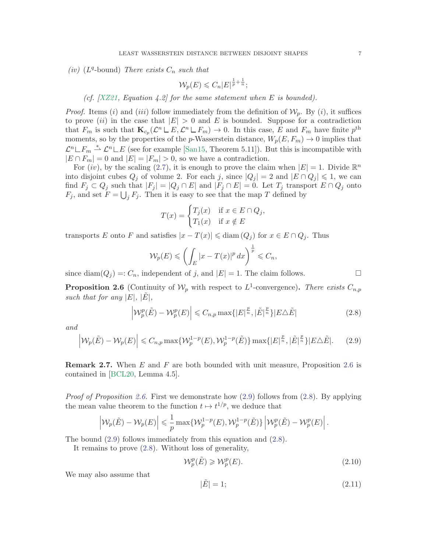(iv) ( $L^q$ -bound) There exists  $C_n$  such that

<span id="page-6-2"></span>
$$
\mathcal{W}_p(E) \leqslant C_n |E|^{\frac{1}{p} + \frac{1}{n}};
$$

(cf.  $[XZ21, Equation 4.2]$  $[XZ21, Equation 4.2]$  for the same statement when E is bounded).

*Proof.* Items (i) and (iii) follow immediately from the definition of  $\mathcal{W}_p$ . By (i), it suffices to prove (ii) in the case that  $|E| > 0$  and E is bounded. Suppose for a contradiction that  $F_m$  is such that  $\mathbf{K}_{c_p}(\mathcal{L}^n \sqcup E, \mathcal{L}^n \sqcup F_m) \to 0$ . In this case, E and  $F_m$  have finite  $p^{\text{th}}$ moments, so by the properties of the p-Wasserstein distance,  $W_p(E, F_m) \rightarrow 0$  implies that  $\mathcal{L}^n \_ F_m \stackrel{*}{\rightharpoonup} \mathcal{L}^n \_ E$  (see for example [\[San15,](#page-18-0) Theorem 5.11]). But this is incompatible with  $|E \cap F_m| = 0$  and  $|E| = |F_m| > 0$ , so we have a contradiction.

For  $(iv)$ , by the scaling [\(2.7\)](#page-5-1), it is enough to prove the claim when  $|E|=1$ . Divide  $\mathbb{R}^n$ into disjoint cubes  $Q_j$  of volume 2. For each j, since  $|Q_j| = 2$  and  $|E \cap Q_j| \leq 1$ , we can find  $F_j \subset Q_j$  such that  $|F_j| = |Q_j \cap E|$  and  $|F_j \cap E| = 0$ . Let  $T_j$  transport  $E \cap Q_j$  onto  $F_j$ , and set  $F = \bigcup_j F_j$ . Then it is easy to see that the map T defined by

$$
T(x) = \begin{cases} T_j(x) & \text{if } x \in E \cap Q_j, \\ T_1(x) & \text{if } x \notin E \end{cases}
$$

transports E onto F and satisfies  $|x - T(x)| \leq d$ iam  $(Q_i)$  for  $x \in E \cap Q_i$ . Thus

$$
\mathcal{W}_p(E) \leqslant \left(\int_E |x - T(x)|^p \, dx\right)^{\frac{1}{p}} \leqslant C_n,
$$

since diam( $Q_i$ ) =:  $C_n$ , independent of j, and  $|E|=1$ . The claim follows.

<span id="page-6-0"></span>**Proposition 2.6** (Continuity of  $\mathcal{W}_p$  with respect to  $L^1$ -convergence). There exists  $C_{n,p}$ such that for any  $|E|, |E|$ ,

$$
\left| \mathcal{W}_p^p(\tilde{E}) - \mathcal{W}_p^p(E) \right| \leq C_{n,p} \max\{|E|^{\frac{p}{n}}, |\tilde{E}|^{\frac{p}{n}}\} |E \triangle \tilde{E}| \tag{2.8}
$$

and

<span id="page-6-1"></span>
$$
\left| \mathcal{W}_p(\tilde{E}) - \mathcal{W}_p(E) \right| \leq C_{n,p} \max \{ \mathcal{W}_p^{1-p}(E), \mathcal{W}_p^{1-p}(\tilde{E}) \} \max \{ |E|^{\frac{p}{n}}, |\tilde{E}|^{\frac{p}{n}} \} |E \triangle \tilde{E}|.
$$
 (2.9)

Remark 2.7. When E and F are both bounded with unit measure, Proposition [2.6](#page-6-0) is contained in [\[BCL20,](#page-17-0) Lemma 4.5].

*Proof of Proposition [2.6.](#page-6-0)* First we demonstrate how  $(2.9)$  follows from  $(2.8)$ . By applying the mean value theorem to the function  $t \mapsto t^{1/p}$ , we deduce that

<span id="page-6-3"></span>
$$
\left| \mathcal{W}_p(\tilde{E}) - \mathcal{W}_p(E) \right| \leq \frac{1}{p} \max \{ \mathcal{W}_p^{1-p}(E), \mathcal{W}_p^{1-p}(\tilde{E}) \} \left| \mathcal{W}_p^p(\tilde{E}) - \mathcal{W}_p^p(E) \right|.
$$

The bound [\(2.9\)](#page-6-1) follows immediately from this equation and [\(2.8\)](#page-6-2).

It remains to prove [\(2.8\)](#page-6-2). Without loss of generality,

$$
\mathcal{W}_p^p(\tilde{E}) \geqslant \mathcal{W}_p^p(E). \tag{2.10}
$$

We may also assume that

<span id="page-6-4"></span>
$$
|\tilde{E}| = 1; \tag{2.11}
$$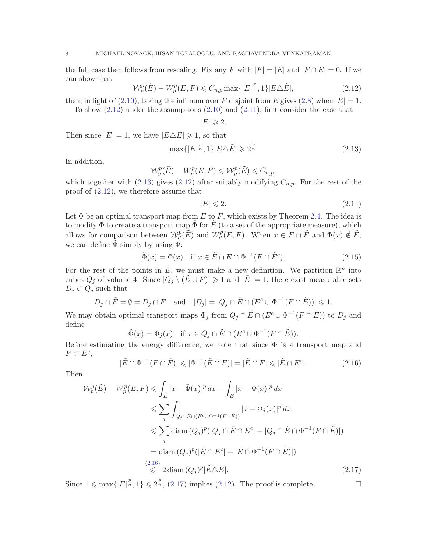the full case then follows from rescaling. Fix any F with  $|F| = |E|$  and  $|F \cap E| = 0$ . If we can show that

<span id="page-7-0"></span>
$$
\mathcal{W}_p^p(\tilde{E}) - W_p^p(E, F) \leq C_{n,p} \max\{|E|^{\frac{p}{n}}, 1\} |E \triangle \tilde{E}|,
$$
\n(2.12)

then, in light of [\(2.10\)](#page-6-3), taking the infimum over F disjoint from E gives [\(2.8\)](#page-6-2) when  $|E|=1$ .

To show [\(2.12\)](#page-7-0) under the assumptions [\(2.10\)](#page-6-3) and [\(2.11\)](#page-6-4), first consider the case that

 $|E| \geqslant 2.$ 

Then since  $|\tilde{E}| = 1$ , we have  $|E \triangle \tilde{E}| \geq 1$ , so that

<span id="page-7-1"></span>
$$
\max\{|E|^{\frac{p}{n}},1\}|E\triangle\tilde{E}|\geqslant 2^{\frac{p}{n}}.\tag{2.13}
$$

In addition,

$$
\mathcal{W}_p^p(\tilde{E}) - W_p^p(E, F) \leqslant \mathcal{W}_p^p(\tilde{E}) \leqslant C_{n,p},
$$

which together with [\(2.13\)](#page-7-1) gives [\(2.12\)](#page-7-0) after suitably modifying  $C_{n,p}$ . For the rest of the proof of [\(2.12\)](#page-7-0), we therefore assume that

$$
|E| \leqslant 2.\tag{2.14}
$$

Let  $\Phi$  be an optimal transport map from E to F, which exists by Theorem [2.4.](#page-5-2) The idea is to modify  $\Phi$  to create a transport map  $\Phi$  for  $E$  (to a set of the appropriate measure), which allows for comparison between  $\mathcal{W}_p^p(\tilde{E})$  and  $W_p^p(E, F)$ . When  $x \in E \cap \tilde{E}$  and  $\Phi(x) \notin \tilde{E}$ , we can define  $\Phi$  simply by using  $\Phi$ :

$$
\tilde{\Phi}(x) = \Phi(x) \quad \text{if } x \in \tilde{E} \cap E \cap \Phi^{-1}(F \cap \tilde{E}^c). \tag{2.15}
$$

For the rest of the points in  $\tilde{E}$ , we must make a new definition. We partition  $\mathbb{R}^n$  into cubes  $Q_i$  of volume 4. Since  $|Q_i \setminus (\tilde{E} \cup F)| \geq 1$  and  $|\tilde{E}| = 1$ , there exist measurable sets  $D_j \subset Q_j$  such that

<span id="page-7-2"></span>
$$
D_j \cap \tilde{E} = \emptyset = D_j \cap F
$$
 and  $|D_j| = |Q_j \cap \tilde{E} \cap (E^c \cup \Phi^{-1}(F \cap \tilde{E}))| \leq 1.$ 

We may obtain optimal transport maps  $\Phi_j$  from  $Q_j \cap \tilde{E} \cap (E^c \cup \Phi^{-1}(F \cap \tilde{E}))$  to  $D_j$  and define

$$
\tilde{\Phi}(x) = \Phi_j(x) \quad \text{if } x \in Q_j \cap \tilde{E} \cap (E^c \cup \Phi^{-1}(F \cap \tilde{E})).
$$

Before estimating the energy difference, we note that since  $\Phi$  is a transport map and  $F \subset E^c$ ,

<span id="page-7-3"></span>
$$
|\tilde{E} \cap \Phi^{-1}(F \cap \tilde{E})| \leqslant |\Phi^{-1}(\tilde{E} \cap F)| = |\tilde{E} \cap F| \leqslant |\tilde{E} \cap E^{c}|.
$$
\n(2.16)

Then

$$
\mathcal{W}_p^p(\tilde{E}) - W_p^p(E, F) \leq \int_{\tilde{E}} |x - \tilde{\Phi}(x)|^p dx - \int_E |x - \Phi(x)|^p dx
$$
  
\n
$$
\leq \sum_j \int_{Q_j \cap \tilde{E} \cap (E^c \cup \Phi^{-1}(F \cap \tilde{E}))} |x - \Phi_j(x)|^p dx
$$
  
\n
$$
\leq \sum_j \text{diam}(Q_j)^p (|Q_j \cap \tilde{E} \cap E^c| + |Q_j \cap \tilde{E} \cap \Phi^{-1}(F \cap \tilde{E})|)
$$
  
\n
$$
= \text{diam}(Q_j)^p (|\tilde{E} \cap E^c| + |\tilde{E} \cap \Phi^{-1}(F \cap \tilde{E})|)
$$
  
\n(2.16)  
\n
$$
\leq 2 \text{diam}(Q_j)^p |\tilde{E} \triangle E|. \tag{2.17}
$$

Since  $1 \n\t\leq \max\{|E|^{\frac{p}{n}}, 1\} \leq 2^{\frac{p}{n}}$ , [\(2.17\)](#page-7-3) implies [\(2.12\)](#page-7-0). The proof is complete.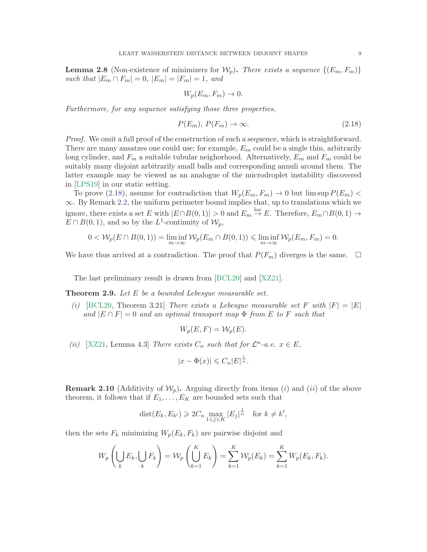<span id="page-8-0"></span>**Lemma 2.8** (Non-existence of minimizers for  $\mathcal{W}_n$ ). There exists a sequence  $\{(E_m, F_m)\}$ such that  $|E_m \cap F_m| = 0$ ,  $|E_m| = |F_m| = 1$ , and

<span id="page-8-1"></span>
$$
W_p(E_m, F_m) \to 0.
$$

Furthermore, for any sequence satisfying those three properties,

$$
P(E_m), P(F_m) \to \infty. \tag{2.18}
$$

*Proof.* We omit a full proof of the construction of such a sequence, which is straightforward. There are many ansatzes one could use; for example,  $E_m$  could be a single thin, arbitrarily long cylinder, and  $F_m$  a suitable tubular neighorhood. Alternatively,  $E_m$  and  $F_m$  could be suitably many disjoint arbitrarily small balls and corresponding annuli around them. The latter example may be viewed as an analogue of the microdroplet instability discovered in [\[LPS19\]](#page-18-12) in our static setting.

To prove [\(2.18\)](#page-8-1), assume for contradiction that  $W_p(E_m, F_m) \to 0$  but  $\limsup P(E_m)$  $\infty$ . By Remark [2.2,](#page-4-0) the uniform perimeter bound implies that, up to translations which we ignore, there exists a set E with  $|E \cap B(0,1)| > 0$  and  $E_m \stackrel{\text{loc}}{\rightarrow} E$ . Therefore,  $E_m \cap B(0,1) \rightarrow$  $E \cap B(0,1)$ , and so by the L<sup>1</sup>-continuity of  $\mathcal{W}_p$ ,

$$
0 < \mathcal{W}_p(E \cap B(0, 1)) = \liminf_{m \to \infty} \mathcal{W}_p(E_m \cap B(0, 1)) \leq \liminf_{m \to \infty} \mathcal{W}_p(E_m, F_m) = 0.
$$

We have thus arrived at a contradiction. The proof that  $P(F_m)$  diverges is the same.  $\Box$ 

The last preliminary result is drawn from [\[BCL20\]](#page-17-0) and [\[XZ21\]](#page-18-2).

<span id="page-8-2"></span>**Theorem 2.9.** Let  $E$  be a bounded Lebesgue measurable set.

(i) [\[BCL20,](#page-17-0) Theorem 3.21] There exists a Lebesgue measurable set F with  $|F| = |E|$ and  $|E \cap F| = 0$  and an optimal transport map  $\Phi$  from E to F such that

$$
W_p(E, F) = \mathcal{W}_p(E).
$$

(ii) [\[XZ21,](#page-18-2) Lemma 4.3] There exists  $C_n$  such that for  $\mathcal{L}^n$ -a.e.  $x \in E$ ,

$$
|x - \Phi(x)| \leqslant C_n |E|^{\frac{1}{n}}.
$$

<span id="page-8-3"></span>**Remark 2.10** (Additivity of  $\mathcal{W}_p$ ). Arguing directly from items (i) and (ii) of the above theorem, it follows that if  $E_1, \ldots, E_K$  are bounded sets such that

$$
dist(E_k, E_{k'}) \geqslant 2C_n \max_{1 \leqslant j \leqslant K} |E_j|^{\frac{1}{n}} \quad \text{for } k \neq k',
$$

then the sets  $F_k$  minimizing  $W_p(E_k, F_k)$  are pairwise disjoint and

$$
W_p\left(\bigcup_k E_k, \bigcup_k F_k\right) = \mathcal{W}_p\left(\bigcup_{k=1}^K E_k\right) = \sum_{k=1}^K \mathcal{W}_p(E_k) = \sum_{k=1}^K W_p(E_k, F_k).
$$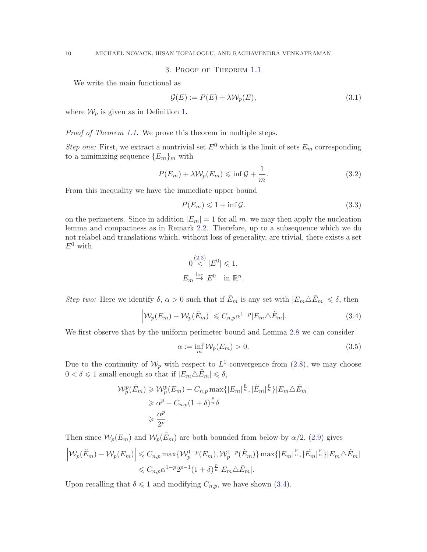3. Proof of Theorem [1.1](#page-1-0)

We write the main functional as

$$
\mathcal{G}(E) := P(E) + \lambda \mathcal{W}_p(E),\tag{3.1}
$$

where  $\mathcal{W}_p$  is given as in Definition [1.](#page-5-3)

Proof of Theorem [1.1.](#page-1-0) We prove this theorem in multiple steps.

Step one: First, we extract a nontrivial set  $E^0$  which is the limit of sets  $E_m$  corresponding to a minimizing sequence  $\{E_m\}_m$  with

<span id="page-9-1"></span>
$$
P(E_m) + \lambda \mathcal{W}_p(E_m) \leq \inf \mathcal{G} + \frac{1}{m}.
$$
\n(3.2)

From this inequality we have the immediate upper bound

<span id="page-9-2"></span>
$$
P(E_m) \leq 1 + \inf \mathcal{G}.\tag{3.3}
$$

on the perimeters. Since in addition  $|E_m| = 1$  for all m, we may then apply the nucleation lemma and compactness as in Remark [2.2.](#page-4-0) Therefore, up to a subsequence which we do not relabel and translations which, without loss of generality, are trivial, there exists a set  $E^0$  with

$$
0 \stackrel{(2.3)}{<} |E^0| \leq 1,
$$
  

$$
E_m \stackrel{\text{loc}}{\rightarrow} E^0 \quad \text{in } \mathbb{R}^n.
$$

Step two: Here we identify  $\delta, \alpha > 0$  such that if  $\tilde{E}_m$  is any set with  $|E_m \triangle \tilde{E}_m| \leq \delta$ , then

<span id="page-9-0"></span>
$$
\left| \mathcal{W}_p(E_m) - \mathcal{W}_p(\tilde{E}_m) \right| \leq C_{n,p} \alpha^{1-p} |E_m \triangle \tilde{E}_m|.
$$
\n(3.4)

We first observe that by the uniform perimeter bound and Lemma [2.8](#page-8-0) we can consider

$$
\alpha := \inf_{m} \mathcal{W}_p(E_m) > 0. \tag{3.5}
$$

Due to the continuity of  $\mathcal{W}_p$  with respect to  $L^1$ -convergence from [\(2.8\)](#page-6-2), we may choose  $0 < \delta \leq 1$  small enough so that if  $|E_m \triangle E_m| \leq \delta$ ,

$$
\mathcal{W}_p^p(\tilde{E}_m) \geq \mathcal{W}_p^p(E_m) - C_{n,p} \max\{|E_m|^{\frac{p}{n}}, |\tilde{E}_m|^{\frac{p}{n}}\}|E_m \triangle \tilde{E}_m|
$$
  

$$
\geq \alpha^p - C_{n,p}(1+\delta)^{\frac{p}{n}} \delta
$$
  

$$
\geq \frac{\alpha^p}{2^p}.
$$

Then since  $\mathcal{W}_p(E_m)$  and  $\mathcal{W}_p(\tilde{E}_m)$  are both bounded from below by  $\alpha/2$ , [\(2.9\)](#page-6-1) gives

$$
\left| \mathcal{W}_p(\tilde{E}_m) - \mathcal{W}_p(E_m) \right| \leq C_{n,p} \max \{ \mathcal{W}_p^{1-p}(E_m), \mathcal{W}_p^{1-p}(\tilde{E}_m) \} \max \{ |E_m|^{\frac{p}{n}}, |\tilde{E}_m|^{\frac{p}{n}} \} |E_m \triangle \tilde{E}_m |
$$
  

$$
\leq C_{n,p} \alpha^{1-p} 2^{p-1} (1+\delta)^{\frac{p}{n}} |E_m \triangle \tilde{E}_m |.
$$

Upon recalling that  $\delta \leq 1$  and modifying  $C_{n,p}$ , we have shown [\(3.4\)](#page-9-0).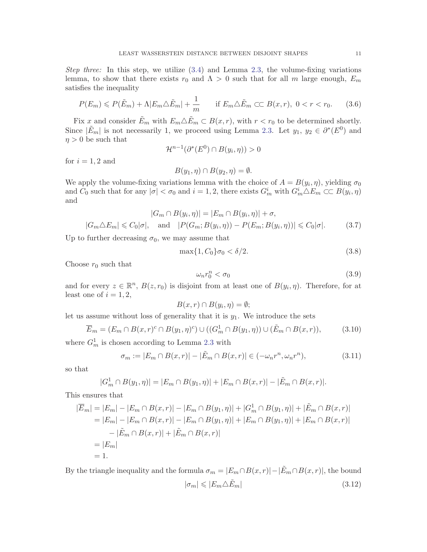Step three: In this step, we utilize  $(3.4)$  and Lemma [2.3,](#page-4-2) the volume-fixing variations lemma, to show that there exists  $r_0$  and  $\Lambda > 0$  such that for all m large enough,  $E_m$ satisfies the inequality

<span id="page-10-0"></span>
$$
P(E_m) \leqslant P(\tilde{E}_m) + \Lambda |E_m \triangle \tilde{E}_m| + \frac{1}{m} \quad \text{if } E_m \triangle \tilde{E}_m \subset C \ B(x, r), \ 0 < r < r_0. \tag{3.6}
$$

Fix x and consider  $\tilde{E}_m$  with  $E_m \triangle \tilde{E}_m \subset B(x, r)$ , with  $r < r_0$  to be determined shortly. Since  $|\tilde{E}_m|$  is not necessarily 1, we proceed using Lemma [2.3.](#page-4-2) Let  $y_1, y_2 \in \partial^*(E^0)$  and  $\eta > 0$  be such that

$$
\mathcal{H}^{n-1}(\partial^*(E^0) \cap B(y_i, \eta)) > 0
$$

for  $i = 1, 2$  and

<span id="page-10-1"></span>
$$
B(y_1, \eta) \cap B(y_2, \eta) = \emptyset.
$$

We apply the volume-fixing variations lemma with the choice of  $A = B(y_i, \eta)$ , yielding  $\sigma_0$ and  $C_0$  such that for any  $|\sigma| < \sigma_0$  and  $i = 1, 2$ , there exists  $G_m^i$  with  $G_m^i \triangle E_m \subset C$   $B(y_i, \eta)$ and

$$
|G_m \cap B(y_i, \eta)| = |E_m \cap B(y_i, \eta)| + \sigma,
$$
  

$$
|G_m \triangle E_m| \le C_0 |\sigma|, \text{ and } |P(G_m; B(y_i, \eta)) - P(E_m; B(y_i, \eta))| \le C_0 |\sigma|.
$$
 (3.7)

Up to further decreasing  $\sigma_0$ , we may assume that

$$
\max\{1, C_0\}\sigma_0 < \delta/2. \tag{3.8}
$$

Choose  $r_0$  such that

<span id="page-10-2"></span>
$$
\omega_n r_0^n < \sigma_0 \tag{3.9}
$$

and for every  $z \in \mathbb{R}^n$ ,  $B(z, r_0)$  is disjoint from at least one of  $B(y_i, \eta)$ . Therefore, for at least one of  $i = 1, 2$ ,

$$
B(x,r)\cap B(y_i,\eta)=\emptyset;
$$

let us assume without loss of generality that it is  $y_1$ . We introduce the sets

<span id="page-10-4"></span>
$$
\overline{E}_m = (E_m \cap B(x, r)^c \cap B(y_1, \eta)^c) \cup ((G_m^1 \cap B(y_1, \eta)) \cup (\tilde{E}_m \cap B(x, r)),
$$
\n(3.10)

where  $G_m^1$  is chosen according to Lemma [2.3](#page-4-2) with

<span id="page-10-3"></span>
$$
\sigma_m := |E_m \cap B(x,r)| - |\tilde{E}_m \cap B(x,r)| \in (-\omega_n r^n, \omega_n r^n), \tag{3.11}
$$

so that

$$
|G_m^1 \cap B(y_1, \eta)| = |E_m \cap B(y_1, \eta)| + |E_m \cap B(x, r)| - |\tilde{E}_m \cap B(x, r)|.
$$

This ensures that

$$
|\overline{E}_m| = |E_m| - |E_m \cap B(x, r)| - |E_m \cap B(y_1, \eta)| + |G_m^1 \cap B(y_1, \eta)| + |\tilde{E}_m \cap B(x, r)|
$$
  
\n
$$
= |E_m| - |E_m \cap B(x, r)| - |E_m \cap B(y_1, \eta)| + |E_m \cap B(y_1, \eta)| + |E_m \cap B(x, r)|
$$
  
\n
$$
- |\tilde{E}_m \cap B(x, r)| + |\tilde{E}_m \cap B(x, r)|
$$
  
\n
$$
= |E_m|
$$
  
\n
$$
= 1.
$$

By the triangle inequality and the formula  $\sigma_m = |E_m \cap B(x,r)| - |\tilde{E}_m \cap B(x,r)|$ , the bound  $|\sigma_m| \leqslant |E_m \triangle \tilde{E}_m|$  (3.12)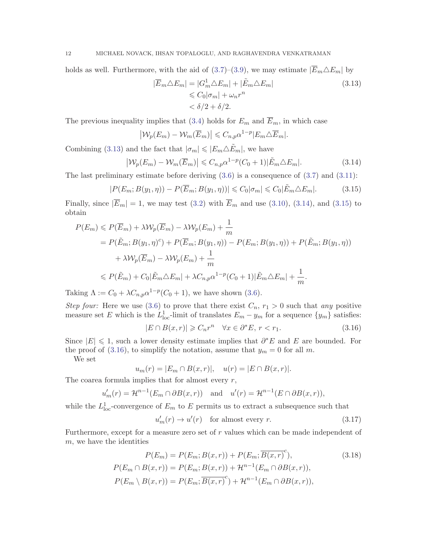holds as well. Furthermore, with the aid of [\(3.7\)](#page-10-1)–[\(3.9\)](#page-10-2), we may estimate  $|\overline{E}_m \triangle E_m|$  by

<span id="page-11-0"></span>
$$
|\overline{E}_m \triangle E_m| = |G_m^1 \triangle E_m| + |\tilde{E}_m \triangle E_m|
$$
  
\$\leq C\_0 |\sigma\_m| + \omega\_n r^n\$  
\$\leq \delta/2 + \delta/2\$.

The previous inequality implies that [\(3.4\)](#page-9-0) holds for  $E_m$  and  $\overline{E}_m$ , in which case

<span id="page-11-2"></span><span id="page-11-1"></span>
$$
\left| \mathcal{W}_p(E_m) - \mathcal{W}_m(\overline{E}_m) \right| \leq C_{n,p} \alpha^{1-p} |E_m \triangle \overline{E}_m|.
$$

Combining [\(3.13\)](#page-11-0) and the fact that  $|\sigma_m| \leqslant |E_m \triangle \tilde{E}_m|$ , we have

$$
\left| \mathcal{W}_p(E_m) - \mathcal{W}_m(\overline{E}_m) \right| \leq C_{n,p} \alpha^{1-p} (C_0 + 1) |\tilde{E}_m \triangle E_m|.
$$
 (3.14)

The last preliminary estimate before deriving  $(3.6)$  is a consequence of  $(3.7)$  and  $(3.11)$ :

$$
|P(E_m; B(y_1, \eta)) - P(\overline{E}_m; B(y_1, \eta))| \leq C_0 |\sigma_m| \leq C_0 |\tilde{E}_m \triangle E_m|.
$$
 (3.15)

Finally, since  $|\overline{E}_m|=1$ , we may test [\(3.2\)](#page-9-1) with  $\overline{E}_m$  and use [\(3.10\)](#page-10-4), [\(3.14\)](#page-11-1), and [\(3.15\)](#page-11-2) to obtain

$$
P(E_m) \leqslant P(\overline{E}_m) + \lambda \mathcal{W}_p(\overline{E}_m) - \lambda \mathcal{W}_p(E_m) + \frac{1}{m}
$$
  
=  $P(\tilde{E}_m; B(y_1, \eta)^c) + P(\overline{E}_m; B(y_1, \eta)) - P(E_m; B(y_1, \eta)) + \lambda \mathcal{W}_p(\overline{E}_m) - \lambda \mathcal{W}_p(E_m) + \frac{1}{m}$   
 $\leqslant P(\tilde{E}_m) + C_0 |\tilde{E}_m \Delta E_m| + \lambda C_{n,p} \alpha^{1-p} (C_0 + 1) |\tilde{E}_m \Delta E_m| + \frac{1}{m}.$ 

Taking  $\Lambda := C_0 + \lambda C_{n,p} \alpha^{1-p} (C_0 + 1)$ , we have shown [\(3.6\)](#page-10-0).

Step four: Here we use [\(3.6\)](#page-10-0) to prove that there exist  $C_n$ ,  $r_1 > 0$  such that any positive measure set E which is the  $L_{\text{loc}}^1$ -limit of translates  $E_m - y_m$  for a sequence  $\{y_m\}$  satisfies:

<span id="page-11-3"></span>
$$
|E \cap B(x,r)| \geq C_n r^n \quad \forall x \in \partial^* E, r < r_1. \tag{3.16}
$$

Since  $|E| \leq 1$ , such a lower density estimate implies that  $\partial^* E$  and E are bounded. For the proof of [\(3.16\)](#page-11-3), to simplify the notation, assume that  $y_m = 0$  for all m.

We set

<span id="page-11-5"></span>
$$
u_m(r) = |E_m \cap B(x,r)|, \quad u(r) = |E \cap B(x,r)|.
$$

The coarea formula implies that for almost every  $r$ ,

$$
u'_m(r) = \mathcal{H}^{n-1}(E_m \cap \partial B(x,r)) \quad \text{and} \quad u'(r) = \mathcal{H}^{n-1}(E \cap \partial B(x,r)),
$$

while the  $L^1_{\text{loc}}$ -convergence of  $E_m$  to  $E$  permits us to extract a subsequence such that

<span id="page-11-4"></span>
$$
u'_m(r) \to u'(r) \quad \text{for almost every } r. \tag{3.17}
$$

Furthermore, except for a measure zero set of r values which can be made independent of m, we have the identities

$$
P(E_m) = P(E_m; B(x, r)) + P(E_m; \overline{B(x, r)}^c),
$$
\n
$$
P(E_m \cap B(x, r)) = P(E_m; B(x, r)) + \mathcal{H}^{n-1}(E_m \cap \partial B(x, r)),
$$
\n
$$
P(E_m \setminus B(x, r)) = P(E_m; \overline{B(x, r)}^c) + \mathcal{H}^{n-1}(E_m \cap \partial B(x, r)),
$$
\n(3.18)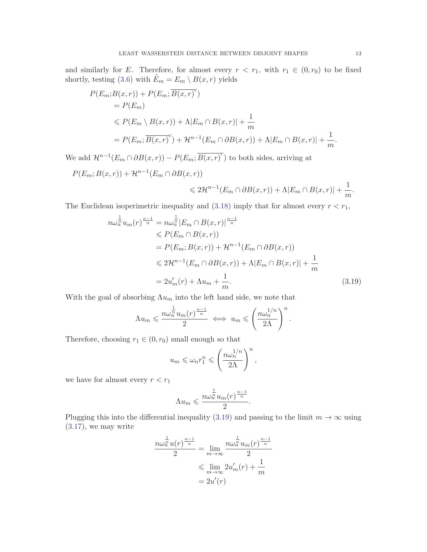and similarly for E. Therefore, for almost every  $r < r_1$ , with  $r_1 \in (0, r_0)$  to be fixed shortly, testing [\(3.6\)](#page-10-0) with  $\tilde{E}_m = E_m \setminus B(x,r)$  yields

$$
P(E_m; B(x, r)) + P(E_m; \overline{B(x, r)}^c)
$$
  
=  $P(E_m)$   

$$
\leq P(E_m \setminus B(x, r)) + \Lambda |E_m \cap B(x, r)| + \frac{1}{m}
$$
  
=  $P(E_m; \overline{B(x, r)}^c) + \mathcal{H}^{n-1}(E_m \cap \partial B(x, r)) + \Lambda |E_m \cap B(x, r)| + \frac{1}{m}.$ 

We add  $\mathcal{H}^{n-1}(E_m \cap \partial B(x,r)) - P(E_m; \overline{B(x,r)}^c)$  to both sides, arriving at

$$
P(E_m; B(x,r)) + \mathcal{H}^{n-1}(E_m \cap \partial B(x,r))
$$
  
\$\leq 2\mathcal{H}^{n-1}(E\_m \cap \partial B(x,r)) + \Lambda |E\_m \cap B(x,r)| + \frac{1}{m}\$

The Euclidean isoperimetric inequality and [\(3.18\)](#page-11-4) imply that for almost every  $r < r_1$ ,

$$
n\omega_n^{\frac{1}{n}}u_m(r)^{\frac{n-1}{n}} = n\omega_n^{\frac{1}{n}}|E_m \cap B(x,r)|^{\frac{n-1}{n}}
$$
  
\n
$$
\leq P(E_m \cap B(x,r))
$$
  
\n
$$
= P(E_m; B(x,r)) + \mathcal{H}^{n-1}(E_m \cap \partial B(x,r))
$$
  
\n
$$
\leq 2\mathcal{H}^{n-1}(E_m \cap \partial B(x,r)) + \Lambda |E_m \cap B(x,r)| + \frac{1}{m}
$$
  
\n
$$
= 2u'_m(r) + \Lambda u_m + \frac{1}{m}.
$$
\n(3.19)

With the goal of absorbing  $\Lambda u_m$  into the left hand side, we note that

$$
\Lambda u_m \leqslant \frac{n\omega_n^{\frac{1}{n}}u_m(r)^{\frac{n-1}{n}}}{2} \iff u_m \leqslant \left(\frac{n\omega_n^{1/n}}{2\Lambda}\right)^n.
$$

Therefore, choosing  $r_1 \in (0, r_0)$  small enough so that

$$
u_m \leqslant \omega_n r_1^n \leqslant \left(\frac{n\omega_n^{1/n}}{2\Lambda}\right)^n,
$$

we have for almost every  $r < r_1$ 

$$
\Lambda u_m \leqslant \frac{n\omega_n^{\frac{1}{n}}u_m(r)^{\frac{n-1}{n}}}{2}.
$$

Plugging this into the differential inequality [\(3.19\)](#page-12-0) and passing to the limit  $m \to \infty$  using [\(3.17\)](#page-11-5), we may write

$$
\frac{n\omega_n^{\frac{1}{n}}u(r)^{\frac{n-1}{n}}}{2} = \lim_{m \to \infty} \frac{n\omega_n^{\frac{1}{n}}u_m(r)^{\frac{n-1}{n}}}{2}
$$

$$
\leq \lim_{m \to \infty} 2u'_m(r) + \frac{1}{m}
$$

$$
= 2u'(r)
$$

<span id="page-12-0"></span>.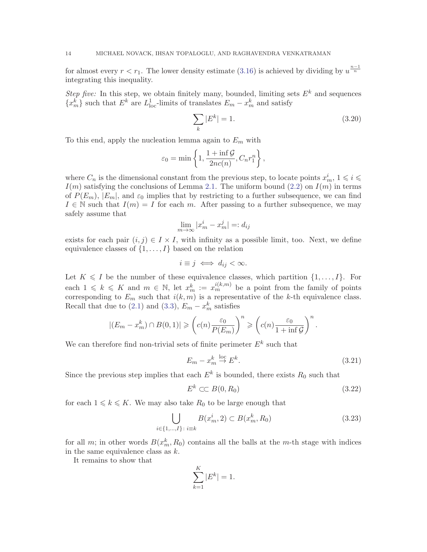for almost every  $r < r_1$ . The lower density estimate [\(3.16\)](#page-11-3) is achieved by dividing by  $u^{\frac{n-1}{n}}$ integrating this inequality.

Step five: In this step, we obtain finitely many, bounded, limiting sets  $E^k$  and sequences  ${x_m^k}$  such that  $E^k$  are  $L_{\text{loc}}^1$ -limits of translates  $E_m - x_m^k$  and satisfy

$$
\sum_{k} |E^{k}| = 1.
$$
\n(3.20)

To this end, apply the nucleation lemma again to  $E_m$  with

<span id="page-13-0"></span>
$$
\varepsilon_0 = \min\left\{1, \frac{1 + \inf \mathcal{G}}{2nc(n)}, C_n r_1^n\right\},\
$$

where  $C_n$  is the dimensional constant from the previous step, to locate points  $x_m^i$ ,  $1 \leqslant i \leqslant n$  $I(m)$  satisfying the conclusions of Lemma [2.1.](#page-3-0) The uniform bound [\(2.2\)](#page-4-3) on  $I(m)$  in terms of  $P(E_m)$ ,  $|E_m|$ , and  $\varepsilon_0$  implies that by restricting to a further subsequence, we can find  $I \in \mathbb{N}$  such that  $I(m) = I$  for each m. After passing to a further subsequence, we may safely assume that

$$
\lim_{m \to \infty} |x_m^i - x_m^j| =: d_{ij}
$$

exists for each pair  $(i, j) \in I \times I$ , with infinity as a possible limit, too. Next, we define equivalence classes of  $\{1, \ldots, I\}$  based on the relation

$$
i \equiv j \iff d_{ij} < \infty.
$$

Let  $K \leqslant I$  be the number of these equivalence classes, which partition  $\{1, \ldots, I\}$ . For each  $1 \leq k \leq K$  and  $m \in \mathbb{N}$ , let  $x_m^k := x_m^{i(k,m)}$  be a point from the family of points corresponding to  $E_m$  such that  $i(k, m)$  is a representative of the k-th equivalence class. Recall that due to [\(2.1\)](#page-3-1) and [\(3.3\)](#page-9-2),  $E_m - x_m^k$  satisfies

$$
|(E_m - x_m^k) \cap B(0,1)| \geqslant \left(c(n) \frac{\varepsilon_0}{P(E_m)}\right)^n \geqslant \left(c(n) \frac{\varepsilon_0}{1 + \inf \mathcal{G}}\right)^n.
$$

We can therefore find non-trivial sets of finite perimeter  $E^k$  such that

$$
E_m - x_m^k \stackrel{\text{loc}}{\to} E^k. \tag{3.21}
$$

Since the previous step implies that each  $E^k$  is bounded, there exists  $R_0$  such that

<span id="page-13-3"></span>
$$
E^k \subset B(0, R_0) \tag{3.22}
$$

for each  $1 \leq k \leq K$ . We may also take  $R_0$  to be large enough that

<span id="page-13-2"></span>
$$
\bigcup_{i \in \{1, \dots, I\} \colon i \equiv k} B(x_m^i, 2) \subset B(x_m^k, R_0) \tag{3.23}
$$

for all m; in other words  $B(x_m^k, R_0)$  contains all the balls at the m-th stage with indices in the same equivalence class as  $k$ .

It remains to show that

<span id="page-13-1"></span>
$$
\sum_{k=1}^{K} |E^k| = 1.
$$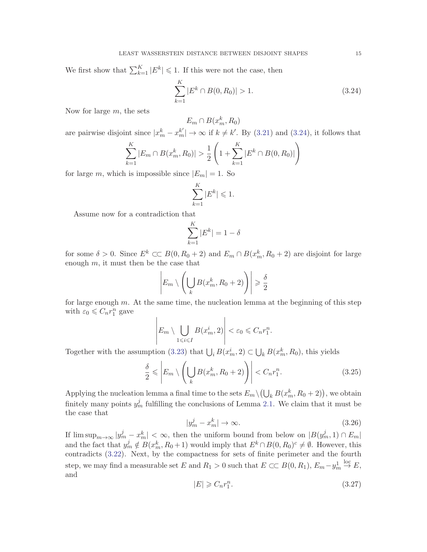We first show that  $\sum_{k=1}^{K} |E^k| \leq 1$ . If this were not the case, then

$$
\sum_{k=1}^{K} |E^k \cap B(0, R_0)| > 1.
$$
\n(3.24)

Now for large  $m$ , the sets

 $E_m \cap B(x_m^k, R_0)$ 

are pairwise disjoint since  $|x_m^k - x_m^{k'}| \to \infty$  if  $k \neq k'$ . By [\(3.21\)](#page-13-0) and [\(3.24\)](#page-13-1), it follows that

$$
\sum_{k=1}^{K} |E_m \cap B(x_m^k, R_0)| > \frac{1}{2} \left( 1 + \sum_{k=1}^{K} |E^k \cap B(0, R_0)| \right)
$$

for large m, which is impossible since  $|E_m| = 1$ . So

$$
\sum_{k=1}^{K} |E^k| \leq 1.
$$

Assume now for a contradiction that

<span id="page-14-1"></span>
$$
\sum_{k=1}^{K} |E^k| = 1 - \delta
$$

for some  $\delta > 0$ . Since  $E^k \subset B(0, R_0 + 2)$  and  $E_m \cap B(x_m^k, R_0 + 2)$  are disjoint for large enough  $m$ , it must then be the case that

$$
\left| E_m \setminus \left( \bigcup_k B(x_m^k, R_0 + 2) \right) \right| \geq \frac{\delta}{2}
$$

for large enough  $m$ . At the same time, the nucleation lemma at the beginning of this step with  $\varepsilon_0 \leqslant C_n r_1^n$  gave

$$
\left| E_m \setminus \bigcup_{1 \le i \le I} B(x_m^i, 2) \right| < \varepsilon_0 \le C_n r_1^n.
$$

Together with the assumption [\(3.23\)](#page-13-2) that  $\bigcup_i B(x_m^i, 2) \subset \bigcup_k B(x_m^k, R_0)$ , this yields

$$
\frac{\delta}{2} \leqslant \left| E_m \setminus \left( \bigcup_k B(x_m^k, R_0 + 2) \right) \right| < C_n r_1^n. \tag{3.25}
$$

Applying the nucleation lemma a final time to the sets  $E_m \setminus (\bigcup_k B(x_m^k, R_0 + 2))$ , we obtain finitely many points  $y_m^j$  fulfilling the conclusions of Lemma [2.1.](#page-3-0) We claim that it must be the case that

<span id="page-14-0"></span>
$$
|y_m^j - x_m^k| \to \infty. \tag{3.26}
$$

If  $\limsup_{m\to\infty} |y_m^j - x_m^k| < \infty$ , then the uniform bound from below on  $|B(y_m^j, 1) \cap E_m|$ and the fact that  $y_m^j \notin B(x_m^k, R_0 + 1)$  would imply that  $E^k \cap B(0, R_0)^c \neq \emptyset$ . However, this contradicts [\(3.22\)](#page-13-3). Next, by the compactness for sets of finite perimeter and the fourth step, we may find a measurable set E and  $R_1 > 0$  such that  $E \subset\subset B(0, R_1)$ ,  $E_m - y_m^1$  $\stackrel{\text{loc}}{\rightarrow} E,$ and

<span id="page-14-2"></span>
$$
|E| \geqslant C_n r_1^n. \tag{3.27}
$$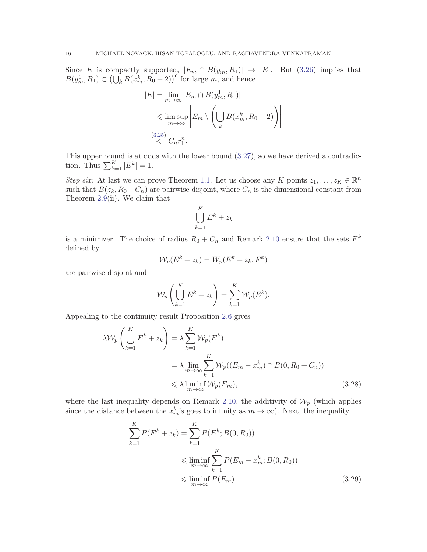Since E is compactly supported,  $|E_m \cap B(y_m^1, R_1)| \to |E|$ . But [\(3.26\)](#page-14-0) implies that  $B(y_m^1, R_1) \subset \left(\bigcup_k B(x_m^k, R_0 + 2)\right)^c$  for large m, and hence

$$
|E| = \lim_{m \to \infty} |E_m \cap B(y_m^1, R_1)|
$$
  
\$\leq\$  $\limsup_{m \to \infty}$   $\left| E_m \setminus \left( \bigcup_k B(x_m^k, R_0 + 2) \right) \right|$   
\$\leq\$  $C_n r_1^n$ .

This upper bound is at odds with the lower bound [\(3.27\)](#page-14-2), so we have derived a contradiction. Thus  $\sum_{k=1}^{K} |E^k| = 1$ .

Step six: At last we can prove Theorem [1.1.](#page-1-0) Let us choose any K points  $z_1, \ldots, z_K \in \mathbb{R}^n$ such that  $B(z_k, R_0 + C_n)$  are pairwise disjoint, where  $C_n$  is the dimensional constant from Theorem [2.9\(](#page-8-2)ii). We claim that

<span id="page-15-0"></span>
$$
\bigcup_{k=1}^K E^k + z_k
$$

is a minimizer. The choice of radius  $R_0 + C_n$  and Remark [2.10](#page-8-3) ensure that the sets  $F^k$ defined by

$$
\mathcal{W}_p(E^k + z_k) = W_p(E^k + z_k, F^k)
$$

are pairwise disjoint and

$$
\mathcal{W}_p\left(\bigcup_{k=1}^K E^k + z_k\right) = \sum_{k=1}^K \mathcal{W}_p(E^k).
$$

Appealing to the continuity result Proposition [2.6](#page-6-0) gives

$$
\lambda \mathcal{W}_p \left( \bigcup_{k=1}^K E^k + z_k \right) = \lambda \sum_{k=1}^K \mathcal{W}_p(E^k)
$$
  
=  $\lambda \lim_{m \to \infty} \sum_{k=1}^K \mathcal{W}_p((E_m - x_m^k) \cap B(0, R_0 + C_n))$   
 $\leq \lambda \liminf_{m \to \infty} \mathcal{W}_p(E_m),$  (3.28)

where the last inequality depends on Remark [2.10,](#page-8-3) the additivity of  $\mathcal{W}_p$  (which applies since the distance between the  $x_m^k$ 's goes to infinity as  $m \to \infty$ ). Next, the inequality

<span id="page-15-1"></span>
$$
\sum_{k=1}^{K} P(E^{k} + z_{k}) = \sum_{k=1}^{K} P(E^{k}; B(0, R_{0}))
$$
  

$$
\leq \liminf_{m \to \infty} \sum_{k=1}^{K} P(E_{m} - x_{m}^{k}; B(0, R_{0}))
$$
  

$$
\leq \liminf_{m \to \infty} P(E_{m})
$$
 (3.29)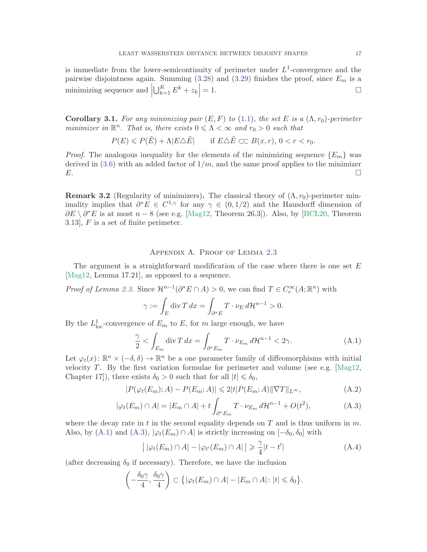is immediate from the lower-semicontinuity of perimeter under  $L^1$ -convergence and the pairwise disjointness again. Summing  $(3.28)$  and  $(3.29)$  finishes the proof, since  $E_m$  is a minimizing sequence and  $\Big\vert$  $\bigcup_{k=1}^K E^k + z_k\Big|$  $= 1.$ 

Corollary 3.1. For any minimizing pair  $(E, F)$  to [\(1.1\)](#page-0-0), the set E is a  $(\Lambda, r_0)$ -perimeter minimizer in  $\mathbb{R}^n$ . That is, there exists  $0 \leq \Lambda < \infty$  and  $r_0 > 0$  such that

$$
P(E) \leqslant P(\tilde{E}) + \Lambda |E \triangle \tilde{E}| \quad \text{if } E \triangle \tilde{E} \subset C \quad B(x, r), \ 0 < r < r_0.
$$

*Proof.* The analogous inequality for the elements of the minimizing sequence  ${E_m}$  was derived in  $(3.6)$  with an added factor of  $1/m$ , and the same proof applies to the minimizer  $E.$ 

**Remark 3.2** (Regularity of minimizers). The classical theory of  $(\Lambda, r_0)$ -perimeter minimality implies that  $\partial^* E \in C^{1,\gamma}$  for any  $\gamma \in (0,1/2)$  and the Hausdorff dimension of  $\partial E \setminus \partial^* E$  is at most  $n-8$  (see e.g. [\[Mag12,](#page-18-13) Theorem 26.3]). Also, by [\[BCL20,](#page-17-0) Theorem 3.13], F is a set of finite perimeter.

### Appendix A. Proof of Lemma [2.3](#page-4-2)

The argument is a straightforward modification of the case where there is one set  $E$ [\[Mag12,](#page-18-13) Lemma 17.21], as opposed to a sequence.

*Proof of Lemma [2.3.](#page-4-2)* Since  $\mathcal{H}^{n-1}(\partial^* E \cap A) > 0$ , we can find  $T \in C_c^{\infty}(A; \mathbb{R}^n)$  with

<span id="page-16-0"></span>
$$
\gamma := \int_E \operatorname{div} T \, dx = \int_{\partial^* E} T \cdot \nu_E \, d\mathcal{H}^{n-1} > 0.
$$

By the  $L^1_{loc}$ -convergence of  $E_m$  to  $E$ , for m large enough, we have

$$
\frac{\gamma}{2} < \int_{E_m} \operatorname{div} T \, dx = \int_{\partial^* E_m} T \cdot \nu_{E_m} \, d\mathcal{H}^{n-1} < 2\gamma. \tag{A.1}
$$

Let  $\varphi_t(x)$ :  $\mathbb{R}^n \times (-\delta, \delta) \to \mathbb{R}^n$  be a one parameter family of diffeomorphisms with initial velocity  $T$ . By the first variation formulae for perimeter and volume (see e.g. [\[Mag12,](#page-18-13) Chapter 17]), there exists  $\delta_0 > 0$  such that for all  $|t| \leq \delta_0$ ,

$$
|P(\varphi_t(E_m);A) - P(E_m;A)| \le 2|t|P(E_m;A)||\nabla T||_{L^{\infty}},
$$
\n(A.2)

$$
|\varphi_t(E_m) \cap A| = |E_m \cap A| + t \int_{\partial^* E_m} T \cdot \nu_{E_m} d\mathcal{H}^{n-1} + O(t^2), \tag{A.3}
$$

where the decay rate in t in the second equality depends on  $T$  and is thus uniform in  $m$ . Also, by [\(A.1\)](#page-16-0) and [\(A.3\)](#page-16-1),  $|\varphi_t(E_m) \cap A|$  is strictly increasing on  $[-\delta_0, \delta_0]$  with

<span id="page-16-4"></span><span id="page-16-2"></span><span id="page-16-1"></span>
$$
\left| |\varphi_t(E_m) \cap A| - |\varphi_{t'}(E_m) \cap A| \right| \geq \frac{\gamma}{4} |t - t'| \tag{A.4}
$$

(after decreasing  $\delta_0$  if necessary). Therefore, we have the inclusion

<span id="page-16-3"></span>
$$
\left(-\frac{\delta_0\gamma}{4}, \frac{\delta_0\gamma}{4}\right) \subset \left\{ |\varphi_t(E_m) \cap A| - |E_m \cap A| : |t| \leq \delta_0 \right\}.
$$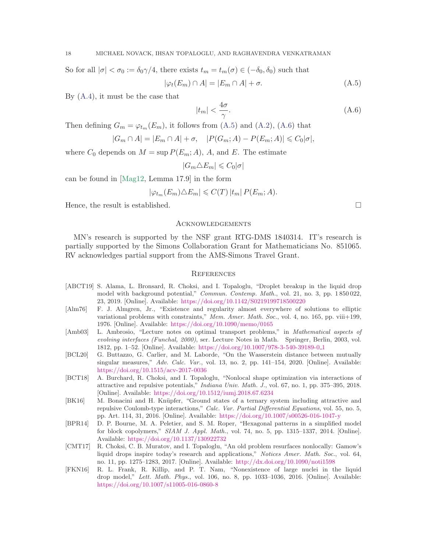So for all 
$$
|\sigma| < \sigma_0 := \delta_0 \gamma/4
$$
, there exists  $t_m = t_m(\sigma) \in (-\delta_0, \delta_0)$  such that  

$$
|\varphi_t(E_m) \cap A| = |E_m \cap A| + \sigma.
$$
 (A.5)

By [\(A.4\)](#page-16-2), it must be the case that

<span id="page-17-9"></span>
$$
|t_m| < \frac{4\sigma}{\gamma}.\tag{A.6}
$$

Then defining  $G_m = \varphi_{t_m}(E_m)$ , it follows from [\(A.5\)](#page-16-3) and [\(A.2\)](#page-16-4), [\(A.6\)](#page-17-9) that

$$
|G_m \cap A| = |E_m \cap A| + \sigma, \quad |P(G_m; A) - P(E_m; A)| \leq C_0 |\sigma|,
$$

where  $C_0$  depends on  $M = \sup P(E_m; A)$ , A, and E. The estimate

$$
|G_m \triangle E_m| \leq C_0 |\sigma|
$$

can be found in [\[Mag12,](#page-18-13) Lemma 17.9] in the form

$$
|\varphi_{t_m}(E_m)\triangle E_m| \leqslant C(T) |t_m| P(E_m; A).
$$

Hence, the result is established.

#### Acknowledgements

MN's research is supported by the NSF grant RTG-DMS 1840314. IT's research is partially supported by the Simons Collaboration Grant for Mathematicians No. 851065. RV acknowledges partial support from the AMS-Simons Travel Grant.

#### **REFERENCES**

- <span id="page-17-4"></span>[ABCT19] S. Alama, L. Bronsard, R. Choksi, and I. Topaloglu, "Droplet breakup in the liquid drop model with background potential," Commun. Contemp. Math., vol. 21, no. 3, pp. 1850 022, 23, 2019. [Online]. Available: <https://doi.org/10.1142/S0219199718500220>
- <span id="page-17-1"></span>[Alm76] F. J. Almgren, Jr., "Existence and regularity almost everywhere of solutions to elliptic variational problems with constraints," Mem. Amer. Math. Soc., vol. 4, no. 165, pp. viii+199, 1976. [Online]. Available: <https://doi.org/10.1090/memo/0165>
- <span id="page-17-8"></span>[Amb03] L. Ambrosio, "Lecture notes on optimal transport problems," in Mathematical aspects of evolving interfaces (Funchal, 2000), ser. Lecture Notes in Math. Springer, Berlin, 2003, vol. 1812, pp. 1–52. [Online]. Available: [https://doi.org/10.1007/978-3-540-39189-0](https://doi.org/10.1007/978-3-540-39189-0_1) 1
- <span id="page-17-0"></span>[BCL20] G. Buttazzo, G. Carlier, and M. Laborde, "On the Wasserstein distance between mutually singular measures,"  $Adv.$  Calc. Var., vol. 13, no. 2, pp. 141–154, 2020. [Online]. Available: <https://doi.org/10.1515/acv-2017-0036>
- <span id="page-17-5"></span>[BCT18] A. Burchard, R. Choksi, and I. Topaloglu, "Nonlocal shape optimization via interactions of attractive and repulsive potentials," Indiana Univ. Math. J., vol. 67, no. 1, pp. 375–395, 2018. [Online]. Available: <https://doi.org/10.1512/iumj.2018.67.6234>
- <span id="page-17-3"></span>[BK16] M. Bonacini and H. Knüpfer, "Ground states of a ternary system including attractive and repulsive Coulomb-type interactions," Calc. Var. Partial Differential Equations, vol. 55, no. 5, pp. Art. 114, 31, 2016. [Online]. Available: <https://doi.org/10.1007/s00526-016-1047-y>
- <span id="page-17-7"></span>[BPR14] D. P. Bourne, M. A. Peletier, and S. M. Roper, "Hexagonal patterns in a simplified model for block copolymers," SIAM J. Appl. Math., vol. 74, no. 5, pp. 1315–1337, 2014. [Online]. Available: <https://doi.org/10.1137/130922732>
- <span id="page-17-2"></span>[CMT17] R. Choksi, C. B. Muratov, and I. Topaloglu, "An old problem resurfaces nonlocally: Gamow's liquid drops inspire today's research and applications," Notices Amer. Math. Soc., vol. 64, no. 11, pp. 1275–1283, 2017. [Online]. Available: <http://dx.doi.org/10.1090/noti1598>
- <span id="page-17-6"></span>[FKN16] R. L. Frank, R. Killip, and P. T. Nam, "Nonexistence of large nuclei in the liquid drop model," Lett. Math. Phys., vol. 106, no. 8, pp. 1033–1036, 2016. [Online]. Available: <https://doi.org/10.1007/s11005-016-0860-8>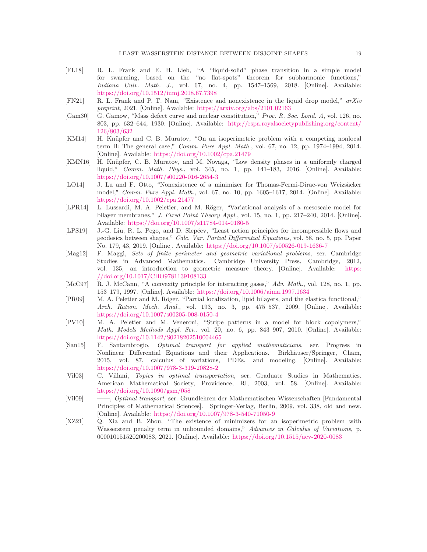- <span id="page-18-5"></span>[FL18] R. L. Frank and E. H. Lieb, "A "liquid-solid" phase transition in a simple model for swarming, based on the "no flat-spots" theorem for subharmonic functions," Indiana Univ. Math. J., vol. 67, no. 4, pp. 1547–1569, 2018. [Online]. Available: <https://doi.org/10.1512/iumj.2018.67.7398>
- <span id="page-18-8"></span>[FN21] R. L. Frank and P. T. Nam, "Existence and nonexistence in the liquid drop model," arXiv preprint, 2021. [Online]. Available: <https://arxiv.org/abs/2101.02163>
- <span id="page-18-3"></span>[Gam30] G. Gamow, "Mass defect curve and nuclear constitution," Proc. R. Soc. Lond. A, vol. 126, no. 803, pp. 632–644, 1930. [Online]. Available: [http://rspa.royalsocietypublishing.org/content/](http://rspa.royalsocietypublishing.org/content/126/803/632) [126/803/632](http://rspa.royalsocietypublishing.org/content/126/803/632)
- <span id="page-18-6"></span>[KM14] H. Knüpfer and C. B. Muratov, "On an isoperimetric problem with a competing nonlocal term II: The general case," Comm. Pure Appl. Math., vol. 67, no. 12, pp. 1974–1994, 2014. [Online]. Available: <https://doi.org/10.1002/cpa.21479>
- <span id="page-18-4"></span>[KMN16] H. Knüpfer, C. B. Muratov, and M. Novaga, "Low density phases in a uniformly charged liquid," Comm. Math. Phys., vol. 345, no. 1, pp. 141–183, 2016. [Online]. Available: <https://doi.org/10.1007/s00220-016-2654-3>
- <span id="page-18-7"></span>[LO14] J. Lu and F. Otto, "Nonexistence of a minimizer for Thomas-Fermi-Dirac-von Weizsäcker model," Comm. Pure Appl. Math., vol. 67, no. 10, pp. 1605–1617, 2014. [Online]. Available: <https://doi.org/10.1002/cpa.21477>
- <span id="page-18-10"></span>[LPR14] L. Lussardi, M. A. Peletier, and M. Röger, "Variational analysis of a mesoscale model for bilayer membranes," J. Fixed Point Theory Appl., vol. 15, no. 1, pp. 217–240, 2014. [Online]. Available: <https://doi.org/10.1007/s11784-014-0180-5>
- <span id="page-18-12"></span>[LPS19] J.-G. Liu, R. L. Pego, and D. Slepčev, "Least action principles for incompressible flows and geodesics between shapes," Calc. Var. Partial Differential Equations, vol. 58, no. 5, pp. Paper No. 179, 43, 2019. [Online]. Available: <https://doi.org/10.1007/s00526-019-1636-7>
- <span id="page-18-13"></span>[Mag12] F. Maggi, Sets of finite perimeter and geometric variational problems, ser. Cambridge Studies in Advanced Mathematics. Cambridge University Press, Cambridge, 2012, vol. 135, an introduction to geometric measure theory. [Online]. Available: [https:](https://doi.org/10.1017/CBO9781139108133) [//doi.org/10.1017/CBO9781139108133](https://doi.org/10.1017/CBO9781139108133)
- <span id="page-18-1"></span>[McC97] R. J. McCann, "A convexity principle for interacting gases," Adv. Math., vol. 128, no. 1, pp. 153–179, 1997. [Online]. Available: <https://doi.org/10.1006/aima.1997.1634>
- <span id="page-18-9"></span>[PR09] M. A. Peletier and M. Röger, "Partial localization, lipid bilayers, and the elastica functional," Arch. Ration. Mech. Anal., vol. 193, no. 3, pp. 475–537, 2009. [Online]. Available: <https://doi.org/10.1007/s00205-008-0150-4>
- <span id="page-18-11"></span>[PV10] M. A. Peletier and M. Veneroni, "Stripe patterns in a model for block copolymers," Math. Models Methods Appl. Sci., vol. 20, no. 6, pp. 843–907, 2010. [Online]. Available: <https://doi.org/10.1142/S0218202510004465>
- <span id="page-18-0"></span>[San15] F. Santambrogio, Optimal transport for applied mathematicians, ser. Progress in Nonlinear Differential Equations and their Applications. Birkhäuser/Springer, Cham, 2015, vol. 87, calculus of variations, PDEs, and modeling. [Online]. Available: <https://doi.org/10.1007/978-3-319-20828-2>
- <span id="page-18-14"></span>[Vil03] C. Villani, Topics in optimal transportation, ser. Graduate Studies in Mathematics. American Mathematical Society, Providence, RI, 2003, vol. 58. [Online]. Available: <https://doi.org/10.1090/gsm/058>
- <span id="page-18-15"></span>[Vil09] ——, Optimal transport, ser. Grundlehren der Mathematischen Wissenschaften [Fundamental Principles of Mathematical Sciences]. Springer-Verlag, Berlin, 2009, vol. 338, old and new. [Online]. Available: <https://doi.org/10.1007/978-3-540-71050-9>
- <span id="page-18-2"></span>[XZ21] Q. Xia and B. Zhou, "The existence of minimizers for an isoperimetric problem with Wasserstein penalty term in unbounded domains," Advances in Calculus of Variations, p. 000010151520200083, 2021. [Online]. Available: <https://doi.org/10.1515/acv-2020-0083>